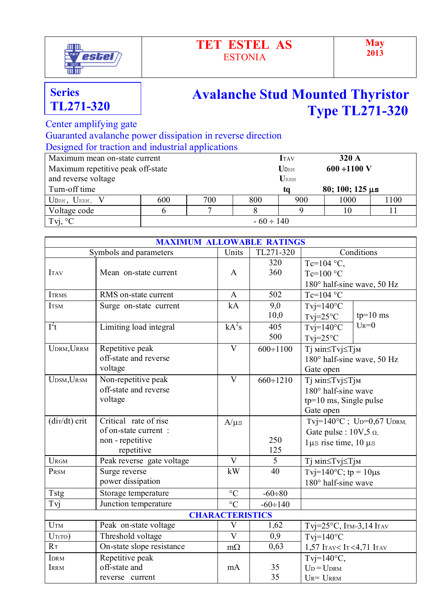

## **TET ESTEL AS** ESTONIA

## **Avalanche Stud Mounted Thyristor Type TL271-320**

Center amplifying gate

 Guaranted avalanche power dissipation in reverse direction Designed for traction and industrial applications

| Maximum mean on-state current             |                |             |                | <b>I</b> TAV | 320A                   |      |  |
|-------------------------------------------|----------------|-------------|----------------|--------------|------------------------|------|--|
| Maximum repetitive peak off-state         |                | <b>UDRM</b> | $600 + 1100$ V |              |                        |      |  |
|                                           |                |             |                |              |                        |      |  |
| and reverse voltage<br>URRM               |                |             |                |              |                        |      |  |
| Turn-off time                             |                |             |                | ta           | $80; 100; 125 \,\mu s$ |      |  |
| $U_{\text{DRM}}$ , $U_{\text{RRM}}$ , $V$ | 600            | 700         | 800            | 900          | 1000                   | 1100 |  |
| Voltage code                              |                |             |                |              | l ()                   |      |  |
| Tvj, $\mathrm{C}^{\circ}$                 | $-60 \div 140$ |             |                |              |                        |      |  |

|                                                            | <b>MAXIMUM ALLOWABLE RATINGS</b>                                                |                         |                 |                                                                                              |  |  |  |
|------------------------------------------------------------|---------------------------------------------------------------------------------|-------------------------|-----------------|----------------------------------------------------------------------------------------------|--|--|--|
| TL271-320<br>Conditions<br>Symbols and parameters<br>Units |                                                                                 |                         |                 |                                                                                              |  |  |  |
| <b>ITAV</b>                                                | Mean on-state current                                                           | A                       | 320<br>360      | Tc=104 $^{\circ}$ C,<br>$Te=100 °C$<br>180° half-sine wave, 50 Hz                            |  |  |  |
| <b>ITRMS</b>                                               | RMS on-state current                                                            | $\mathbf{A}$            | 502             | Tc=104 $\degree$ C                                                                           |  |  |  |
| <b>ITSM</b>                                                | Surge on-state current                                                          | kA                      | 9,0<br>10,0     | $T$ vj=140 $\degree$ C<br>$tp=10$ ms<br>$Tvj=25°C$                                           |  |  |  |
| $I^2t$                                                     | Limiting load integral                                                          | $kA^2s$                 | 405<br>500      | $U_R = 0$<br>$T$ vj=140°C<br>$T$ vj=25°C                                                     |  |  |  |
| UDRM, URRM                                                 | Repetitive peak<br>off-state and reverse<br>voltage                             | $\mathbf V$             | $600 \div 1100$ | Тј міn≤Тvj≤Тјм<br>180° half-sine wave, 50 Hz<br>Gate open                                    |  |  |  |
| $U$ DSM, $U$ RSM                                           | Non-repetitive peak<br>off-state and reverse<br>voltage                         | $\overline{\rm V}$      | $660 \div 1210$ | Тј міn≤Тvj≤Тјм<br>180° half-sine wave<br>$tp=10$ ms, Single pulse<br>Gate open               |  |  |  |
| $\frac{di\tau}{dt}$ crit                                   | Critical rate of rise<br>of on-state current:<br>non - repetitive<br>repetitive | $A/\mu s$               | 250<br>125      | Tvj=140°C; Up=0,67 UpRM,<br>Gate pulse : $10V, 5 \Omega$ ,<br>$1\mu s$ rise time, $10 \mu s$ |  |  |  |
| <b>URGM</b>                                                | Peak reverse gate voltage                                                       | $\mathbf V$             | 5               | Тј міn≤Тvj≤Тјм                                                                               |  |  |  |
| PRSM                                                       | Surge reverse<br>power dissipation                                              | kW                      | 40              | Tvj=140°C; tp = $10\mu s$<br>$180^\circ$ half-sine wave                                      |  |  |  |
| Tstg                                                       | Storage temperature                                                             | $\rm ^{\circ}C$         | $-60 \div 80$   |                                                                                              |  |  |  |
| Tvj                                                        | Junction temperature                                                            | $\rm ^{\circ}C$         | $-60 \div 140$  |                                                                                              |  |  |  |
| <b>CHARACTERISTICS</b>                                     |                                                                                 |                         |                 |                                                                                              |  |  |  |
| $U$ TM                                                     | Peak on-state voltage                                                           | $\mathbf V$             | 1,62            | Tvj= $25^{\circ}$ C, ITM= $3,14$ ITAV                                                        |  |  |  |
| $U_T(TO)$                                                  | Threshold voltage                                                               | $\overline{\mathbf{V}}$ | 0,9             | $T$ vj=140°C                                                                                 |  |  |  |
| $R_{\text{T}}$                                             | On-state slope resistance                                                       | $m\Omega$               | 0,63            | 1,57 ITAV <it<4,71 itav<="" td=""></it<4,71>                                                 |  |  |  |
| <b>IDRM</b><br><b>IRRM</b>                                 | Repetitive peak<br>off-state and<br>reverse current                             | mA                      | 35<br>35        | Tvj= $140^{\circ}$ C,<br>$U_D = U_{DRM}$<br>$U_R = U_{RRM}$                                  |  |  |  |